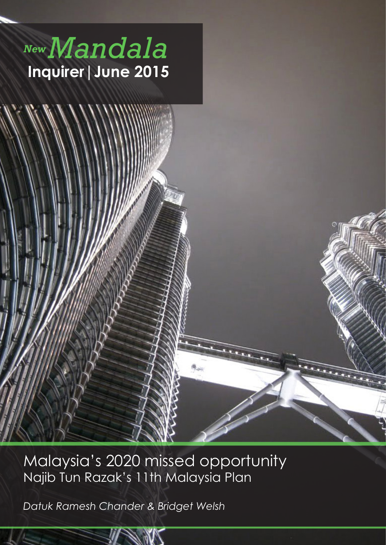



*New Mandala* **1**

*Datuk Ramesh Chander & Bridget Welsh*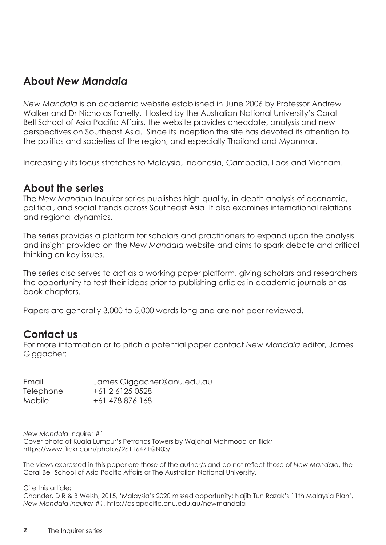# **About** *New Mandala*

*New Mandala* is an academic website established in June 2006 by Professor Andrew Walker and Dr Nicholas Farrelly. Hosted by the Australian National University's Coral Bell School of Asia Pacific Affairs, the website provides anecdote, analysis and new perspectives on Southeast Asia. Since its inception the site has devoted its attention to the politics and societies of the region, and especially Thailand and Myanmar.

Increasingly its focus stretches to Malaysia, Indonesia, Cambodia, Laos and Vietnam.

## **About the series**

The *New Mandala* Inquirer series publishes high-quality, in-depth analysis of economic, political, and social trends across Southeast Asia. It also examines international relations and regional dynamics.

The series provides a platform for scholars and practitioners to expand upon the analysis and insight provided on the *New Mandala* website and aims to spark debate and critical thinking on key issues.

The series also serves to act as a working paper platform, giving scholars and researchers the opportunity to test their ideas prior to publishing articles in academic journals or as book chapters.

Papers are generally 3,000 to 5,000 words long and are not peer reviewed.

## **Contact us**

For more information or to pitch a potential paper contact *New Mandala* editor, James Giggacher:

| Email            | James.Giggacher@anu.edu.au |
|------------------|----------------------------|
| <b>Telephone</b> | +61 2 6125 0528            |
| Mobile           | +61 478 876 168            |

*New Mandala* Inquirer #1 Cover photo of Kuala Lumpur's Petronas Towers by Wajahat Mahmood on flickr https://www.flickr.com/photos/26116471@N03/

The views expressed in this paper are those of the author/s and do not reflect those of *New Mandala*, the Coral Bell School of Asia Pacific Affairs or The Australian National University.

Cite this article:

Chander, D R & B Welsh, 2015, 'Malaysia's 2020 missed opportunity: Najib Tun Razak's 11th Malaysia Plan', *New Mandala Inquirer #1*, http://asiapacific.anu.edu.au/newmandala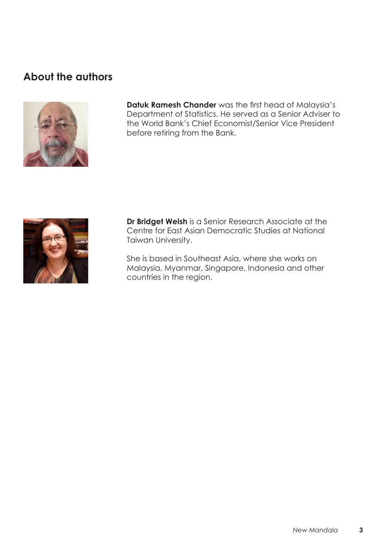# **About the authors**



**Datuk Ramesh Chander** was the first head of Malaysia's Department of Statistics. He served as a Senior Adviser to the World Bank's Chief Economist/Senior Vice President before retiring from the Bank.



**Dr Bridget Welsh** is a Senior Research Associate at the Centre for East Asian Democratic Studies at National Taiwan University.

She is based in Southeast Asia, where she works on Malaysia, Myanmar, Singapore, Indonesia and other countries in the region.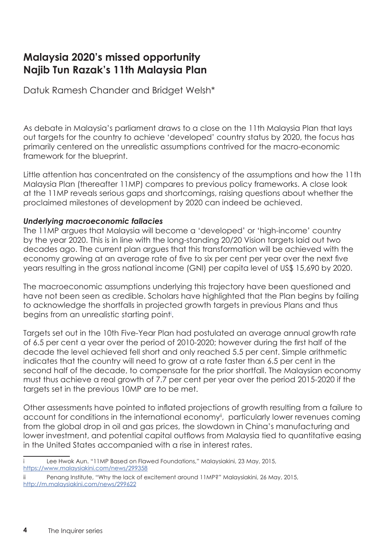# **Malaysia 2020's missed opportunity Najib Tun Razak's 11th Malaysia Plan**

Datuk Ramesh Chander and Bridget Welsh\*

As debate in Malaysia's parliament draws to a close on the 11th Malaysia Plan that lays out targets for the country to achieve 'developed' country status by 2020, the focus has primarily centered on the unrealistic assumptions contrived for the macro-economic framework for the blueprint.

Little attention has concentrated on the consistency of the assumptions and how the 11th Malaysia Plan (thereafter 11MP) compares to previous policy frameworks. A close look at the 11MP reveals serious gaps and shortcomings, raising questions about whether the proclaimed milestones of development by 2020 can indeed be achieved.

### *Underlying macroeconomic fallacies*

The 11MP argues that Malaysia will become a 'developed' or 'high-income' country by the year 2020. This is in line with the long-standing 20/20 Vision targets laid out two decades ago. The current plan argues that this transformation will be achieved with the economy growing at an average rate of five to six per cent per year over the next five years resulting in the gross national income (GNI) per capita level of US\$ 15,690 by 2020.

The macroeconomic assumptions underlying this trajectory have been questioned and have not been seen as credible. Scholars have highlighted that the Plan begins by failing to acknowledge the shortfalls in projected growth targets in previous Plans and thus begins from an unrealistic starting point<sup>i</sup>.

Targets set out in the 10th Five-Year Plan had postulated an average annual growth rate of 6.5 per cent a year over the period of 2010-2020; however during the first half of the decade the level achieved fell short and only reached 5.5 per cent. Simple arithmetic indicates that the country will need to grow at a rate faster than 6.5 per cent in the second half of the decade, to compensate for the prior shortfall. The Malaysian economy must thus achieve a real growth of 7.7 per cent per year over the period 2015-2020 if the targets set in the previous 10MP are to be met.

Other assessments have pointed to inflated projections of growth resulting from a failure to account for conditions in the international economy<sup>ii</sup>, particularly lower revenues coming from the global drop in oil and gas prices, the slowdown in China's manufacturing and lower investment, and potential capital outflows from Malaysia tied to quantitative easing in the United States accompanied with a rise in interest rates.

Lee Hwok Aun. "11MP Based on Flawed Foundations," Malaysiakini, 23 May, 2015, https://www.malaysiakini.com/news/299358

ii Penang Institute, "Why the lack of excitement around 11MP?" Malaysiakini, 26 May, 2015, http://m.malaysiakini.com/news/299622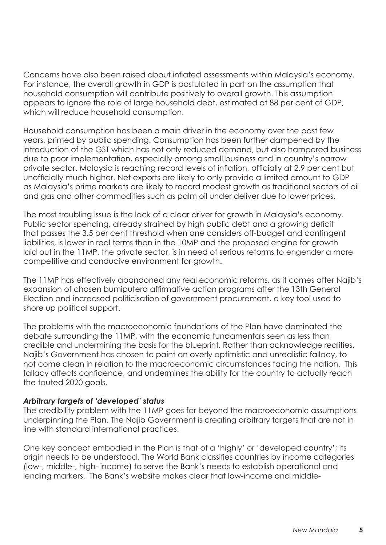Concerns have also been raised about inflated assessments within Malaysia's economy. For instance, the overall growth in GDP is postulated in part on the assumption that household consumption will contribute positively to overall growth. This assumption appears to ignore the role of large household debt, estimated at 88 per cent of GDP, which will reduce household consumption.

Household consumption has been a main driver in the economy over the past few years, primed by public spending. Consumption has been further dampened by the introduction of the GST which has not only reduced demand, but also hampered business due to poor implementation, especially among small business and in country's narrow private sector. Malaysia is reaching record levels of inflation, officially at 2.9 per cent but unofficially much higher. Net exports are likely to only provide a limited amount to GDP as Malaysia's prime markets are likely to record modest growth as traditional sectors of oil and gas and other commodities such as palm oil under deliver due to lower prices.

The most troubling issue is the lack of a clear driver for growth in Malaysia's economy. Public sector spending, already strained by high public debt and a growing deficit that passes the 3.5 per cent threshold when one considers off-budget and contingent liabilities, is lower in real terms than in the 10MP and the proposed engine for growth laid out in the 11MP, the private sector, is in need of serious reforms to engender a more competitive and conducive environment for growth.

The 11MP has effectively abandoned any real economic reforms, as it comes after Najib's expansion of chosen bumiputera affirmative action programs after the 13th General Election and increased politicisation of government procurement, a key tool used to shore up political support.

The problems with the macroeconomic foundations of the Plan have dominated the debate surrounding the 11MP, with the economic fundamentals seen as less than credible and undermining the basis for the blueprint. Rather than acknowledge realities, Najib's Government has chosen to paint an overly optimistic and unrealistic fallacy, to not come clean in relation to the macroeconomic circumstances facing the nation. This fallacy affects confidence, and undermines the ability for the country to actually reach the touted 2020 goals.

### *Arbitrary targets of 'developed' status*

The credibility problem with the 11MP goes far beyond the macroeconomic assumptions underpinning the Plan. The Najib Government is creating arbitrary targets that are not in line with standard international practices.

One key concept embodied in the Plan is that of a 'highly' or 'developed country'; its origin needs to be understood. The World Bank classifies countries by income categories (low-, middle-, high- income) to serve the Bank's needs to establish operational and lending markers. The Bank's website makes clear that low-income and middle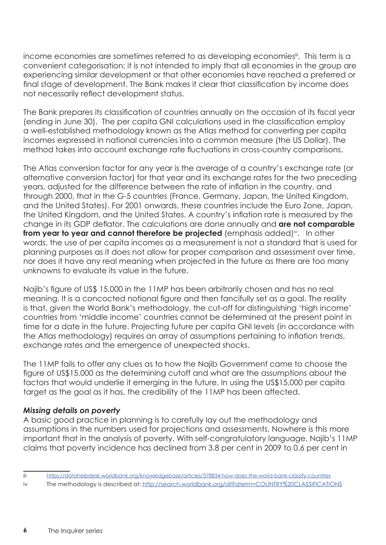income economies are sometimes referred to as developing economies<sup>ii</sup>. This term is a convenient categorisation; it is not intended to imply that all economies in the group are experiencing similar development or that other economies have reached a preferred or final stage of development. The Bank makes it clear that classification by income does not necessarily reflect development status.

The Bank prepares its classification of countries annually on the occasion of its fiscal year (ending in June 30). The per capita GNI calculations used in the classification employ a well-established methodology known as the Atlas method for converting per capita incomes expressed in national currencies into a common measure (the US Dollar). The method takes into account exchange rate fluctuations in cross-country comparisons.

The Atlas conversion factor for any year is the average of a country's exchange rate (or alternative conversion factor) for that year and its exchange rates for the two preceding years, adjusted for the difference between the rate of inflation in the country, and through 2000, that in the G-5 countries (France, Germany, Japan, the United Kingdom, and the United States). For 2001 onwards, these countries include the Euro Zone, Japan, the United Kingdom, and the United States. A country's inflation rate is measured by the change in its GDP deflator. The calculations are done annually and **are not comparable from year to year and cannot therefore be projected** (emphasis added)<sup>iv</sup>. In other words, the use of per capita incomes as a measurement is not a standard that is used for planning purposes as it does not allow for proper comparison and assessment over time, nor does it have any real meaning when projected in the future as there are too many unknowns to evaluate its value in the future.

Najib's figure of US\$ 15,000 in the 11MP has been arbitrarily chosen and has no real meaning. It is a concocted notional figure and then fancifully set as a goal. The reality is that, given the World Bank's methodology, the cut-off for distinguishing 'high income' countries from 'middle income' countries cannot be determined at the present point in time for a date in the future. Projecting future per capita GNI levels (in accordance with the Atlas methodology) requires an array of assumptions pertaining to inflation trends, exchange rates and the emergence of unexpected shocks.

The 11MP fails to offer any clues as to how the Najib Government came to choose the figure of US\$15,000 as the determining cutoff and what are the assumptions about the factors that would underlie it emerging in the future. In using the US\$15,000 per capita target as the goal as it has, the credibility of the 11MP has been affected.

#### *Missing details on poverty*

A basic good practice in planning is to carefully lay out the methodology and assumptions in the numbers used for projections and assessments. Nowhere is this more important that in the analysis of poverty. With self-congratulatory language, Najib's 11MP claims that poverty incidence has declined from 3.8 per cent in 2009 to 0.6 per cent in

iii https://datahelpdesk.worldbank.org/knowledgebase/articles/378834-how-does-the-world-bank-classify-countries

iv The methodology is described at: http://search.worldbank.org/all?qterm=COUNTRY%20CLASSIFICATIONS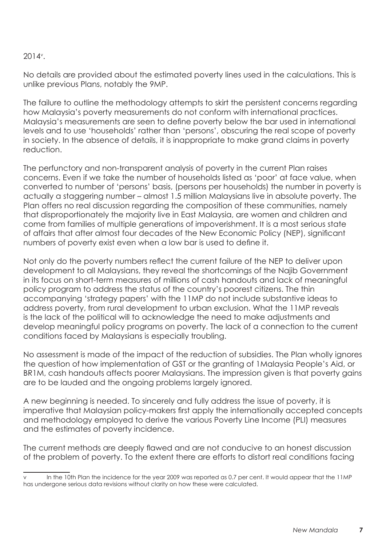### 2014v .

No details are provided about the estimated poverty lines used in the calculations. This is unlike previous Plans, notably the 9MP.

The failure to outline the methodology attempts to skirt the persistent concerns regarding how Malaysia's poverty measurements do not conform with international practices. Malaysia's measurements are seen to define poverty below the bar used in international levels and to use 'households' rather than 'persons', obscuring the real scope of poverty in society. In the absence of details, it is inappropriate to make grand claims in poverty reduction.

The perfunctory and non-transparent analysis of poverty in the current Plan raises concerns. Even if we take the number of households listed as 'poor' at face value, when converted to number of 'persons' basis, (persons per households) the number in poverty is actually a staggering number – almost 1.5 million Malaysians live in absolute poverty. The Plan offers no real discussion regarding the composition of these communities, namely that disproportionately the majority live in East Malaysia, are women and children and come from families of multiple generations of impoverishment. It is a most serious state of affairs that after almost four decades of the New Economic Policy (NEP), significant numbers of poverty exist even when a low bar is used to define it.

Not only do the poverty numbers reflect the current failure of the NEP to deliver upon development to all Malaysians, they reveal the shortcomings of the Najib Government in its focus on short-term measures of millions of cash handouts and lack of meaningful policy program to address the status of the country's poorest citizens. The thin accompanying 'strategy papers' with the 11MP do not include substantive ideas to address poverty, from rural development to urban exclusion. What the 11MP reveals is the lack of the political will to acknowledge the need to make adjustments and develop meaningful policy programs on poverty. The lack of a connection to the current conditions faced by Malaysians is especially troubling.

No assessment is made of the impact of the reduction of subsidies. The Plan wholly ignores the question of how implementation of GST or the granting of 1Malaysia People's Aid, or BR1M, cash handouts affects poorer Malaysians. The impression given is that poverty gains are to be lauded and the ongoing problems largely ignored.

A new beginning is needed. To sincerely and fully address the issue of poverty, it is imperative that Malaysian policy-makers first apply the internationally accepted concepts and methodology employed to derive the various Poverty Line Income (PLI) measures and the estimates of poverty incidence.

The current methods are deeply flawed and are not conducive to an honest discussion of the problem of poverty. To the extent there are efforts to distort real conditions facing

In the 10th Plan the incidence for the year 2009 was reported as 0.7 per cent. It would appear that the 11MP has undergone serious data revisions without clarity on how these were calculated.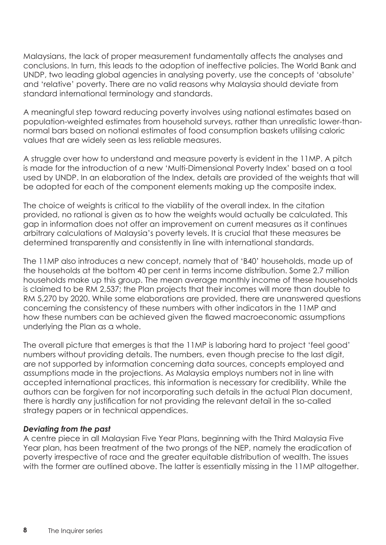Malaysians, the lack of proper measurement fundamentally affects the analyses and conclusions. In turn, this leads to the adoption of ineffective policies. The World Bank and UNDP, two leading global agencies in analysing poverty, use the concepts of 'absolute' and 'relative' poverty. There are no valid reasons why Malaysia should deviate from standard international terminology and standards.

A meaningful step toward reducing poverty involves using national estimates based on population-weighted estimates from household surveys, rather than unrealistic lower-thannormal bars based on notional estimates of food consumption baskets utilising caloric values that are widely seen as less reliable measures.

A struggle over how to understand and measure poverty is evident in the 11MP. A pitch is made for the introduction of a new 'Multi-Dimensional Poverty Index' based on a tool used by UNDP. In an elaboration of the Index, details are provided of the weights that will be adopted for each of the component elements making up the composite index.

The choice of weights is critical to the viability of the overall index. In the citation provided, no rational is given as to how the weights would actually be calculated. This gap in information does not offer an improvement on current measures as it continues arbitrary calculations of Malaysia's poverty levels. It is crucial that these measures be determined transparently and consistently in line with international standards.

The 11MP also introduces a new concept, namely that of 'B40' households, made up of the households at the bottom 40 per cent in terms income distribution. Some 2.7 million households make up this group. The mean average monthly income of these households is claimed to be RM 2,537; the Plan projects that their incomes will more than double to RM 5,270 by 2020. While some elaborations are provided, there are unanswered questions concerning the consistency of these numbers with other indicators in the 11MP and how these numbers can be achieved given the flawed macroeconomic assumptions underlying the Plan as a whole.

The overall picture that emerges is that the 11MP is laboring hard to project 'feel good' numbers without providing details. The numbers, even though precise to the last digit, are not supported by information concerning data sources, concepts employed and assumptions made in the projections. As Malaysia employs numbers not in line with accepted international practices, this information is necessary for credibility. While the authors can be forgiven for not incorporating such details in the actual Plan document, there is hardly any justification for not providing the relevant detail in the so-called strategy papers or in technical appendices.

#### *Deviating from the past*

A centre piece in all Malaysian Five Year Plans, beginning with the Third Malaysia Five Year plan, has been treatment of the two prongs of the NEP, namely the eradication of poverty irrespective of race and the greater equitable distribution of wealth. The issues with the former are outlined above. The latter is essentially missing in the 11MP altogether.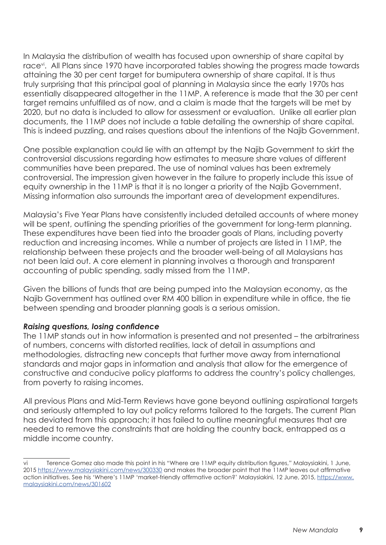In Malaysia the distribution of wealth has focused upon ownership of share capital by race<sup>vi</sup>. All Plans since 1970 have incorporated tables showing the progress made towards attaining the 30 per cent target for bumiputera ownership of share capital. It is thus truly surprising that this principal goal of planning in Malaysia since the early 1970s has essentially disappeared altogether in the 11MP. A reference is made that the 30 per cent target remains unfulfilled as of now, and a claim is made that the targets will be met by 2020, but no data is included to allow for assessment or evaluation. Unlike all earlier plan documents, the 11MP does not include a table detailing the ownership of share capital. This is indeed puzzling, and raises questions about the intentions of the Najib Government.

One possible explanation could lie with an attempt by the Najib Government to skirt the controversial discussions regarding how estimates to measure share values of different communities have been prepared. The use of nominal values has been extremely controversial. The impression given however in the failure to properly include this issue of equity ownership in the 11MP is that it is no longer a priority of the Najib Government. Missing information also surrounds the important area of development expenditures.

Malaysia's Five Year Plans have consistently included detailed accounts of where money will be spent, outlining the spending priorities of the government for long-term planning. These expenditures have been tied into the broader goals of Plans, including poverty reduction and increasing incomes. While a number of projects are listed in 11MP, the relationship between these projects and the broader well-being of all Malaysians has not been laid out. A core element in planning involves a thorough and transparent accounting of public spending, sadly missed from the 11MP.

Given the billions of funds that are being pumped into the Malaysian economy, as the Najib Government has outlined over RM 400 billion in expenditure while in office, the tie between spending and broader planning goals is a serious omission.

#### *Raising questions, losing confidence*

The 11MP stands out in how information is presented and not presented – the arbitrariness of numbers, concerns with distorted realities, lack of detail in assumptions and methodologies, distracting new concepts that further move away from international standards and major gaps in information and analysis that allow for the emergence of constructive and conducive policy platforms to address the country's policy challenges, from poverty to raising incomes.

All previous Plans and Mid-Term Reviews have gone beyond outlining aspirational targets and seriously attempted to lay out policy reforms tailored to the targets. The current Plan has deviated from this approach; it has failed to outline meaningful measures that are needed to remove the constraints that are holding the country back, entrapped as a middle income country.

Terence Gomez also made this point in his "Where are 11MP equity distribution figures," Malaysiakini, 1 June, 2015 https://www.malaysiakini.com/news/300330 and makes the broader point that the 11MP leaves out affirmative action initiatives. See his 'Where's 11MP 'market-friendly affirmative action?' Malaysiakini, 12 June, 2015, https://www. malaysiakini.com/news/301602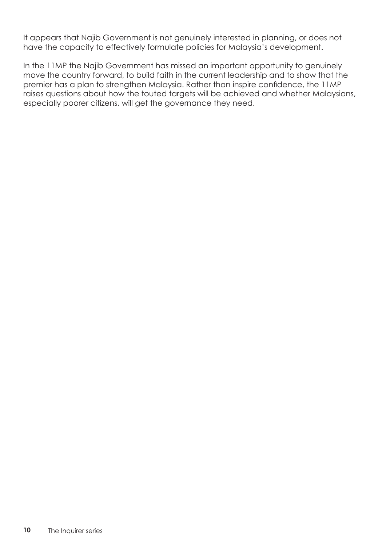It appears that Najib Government is not genuinely interested in planning, or does not have the capacity to effectively formulate policies for Malaysia's development.

In the 11MP the Najib Government has missed an important opportunity to genuinely move the country forward, to build faith in the current leadership and to show that the premier has a plan to strengthen Malaysia. Rather than inspire confidence, the 11MP raises questions about how the touted targets will be achieved and whether Malaysians, especially poorer citizens, will get the governance they need.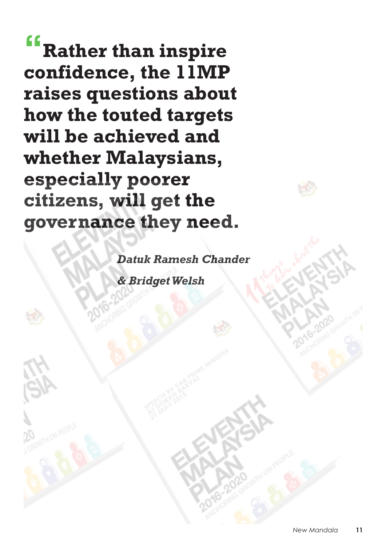**"Rather than inspire confidence, the 11MP raises questions about how the touted targets will be achieved and whether Malaysians, especially poorer citizens, will get the governance they need.** 

> *Datuk Ramesh Chander & Bridget Welsh*